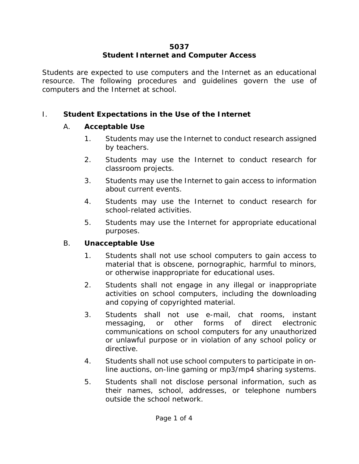#### **5037 Student Internet and Computer Access**

Students are expected to use computers and the Internet as an educational resource. The following procedures and guidelines govern the use of computers and the Internet at school.

## I. **Student Expectations in the Use of the Internet**

## A. **Acceptable Use**

- 1. Students may use the Internet to conduct research assigned by teachers.
- 2. Students may use the Internet to conduct research for classroom projects.
- 3. Students may use the Internet to gain access to information about current events.
- 4. Students may use the Internet to conduct research for school-related activities.
- 5. Students may use the Internet for appropriate educational purposes.

## B. **Unacceptable Use**

- 1. Students shall not use school computers to gain access to material that is obscene, pornographic, harmful to minors, or otherwise inappropriate for educational uses.
- 2. Students shall not engage in any illegal or inappropriate activities on school computers, including the downloading and copying of copyrighted material.
- 3. Students shall not use e-mail, chat rooms, instant messaging, or other forms of direct electronic communications on school computers for any unauthorized or unlawful purpose or in violation of any school policy or directive.
- 4. Students shall not use school computers to participate in online auctions, on-line gaming or mp3/mp4 sharing systems.
- 5. Students shall not disclose personal information, such as their names, school, addresses, or telephone numbers outside the school network.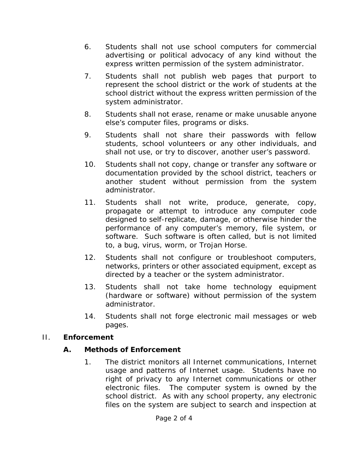- 6. Students shall not use school computers for commercial advertising or political advocacy of any kind without the express written permission of the system administrator.
- 7. Students shall not publish web pages that purport to represent the school district or the work of students at the school district without the express written permission of the system administrator.
- 8. Students shall not erase, rename or make unusable anyone else's computer files, programs or disks.
- 9. Students shall not share their passwords with fellow students, school volunteers or any other individuals, and shall not use, or try to discover, another user's password.
- 10. Students shall not copy, change or transfer any software or documentation provided by the school district, teachers or another student without permission from the system administrator.
- 11. Students shall not write, produce, generate, copy, propagate or attempt to introduce any computer code designed to self-replicate, damage, or otherwise hinder the performance of any computer's memory, file system, or software. Such software is often called, but is not limited to, a bug, virus, worm, or Trojan Horse.
- 12. Students shall not configure or troubleshoot computers, networks, printers or other associated equipment, except as directed by a teacher or the system administrator.
- 13. Students shall not take home technology equipment (hardware or software) without permission of the system administrator.
- 14. Students shall not forge electronic mail messages or web pages.

#### II. **Enforcement**

## **A. Methods of Enforcement**

1. The district monitors all Internet communications, Internet usage and patterns of Internet usage. Students have no right of privacy to any Internet communications or other electronic files. The computer system is owned by the school district. As with any school property, any electronic files on the system are subject to search and inspection at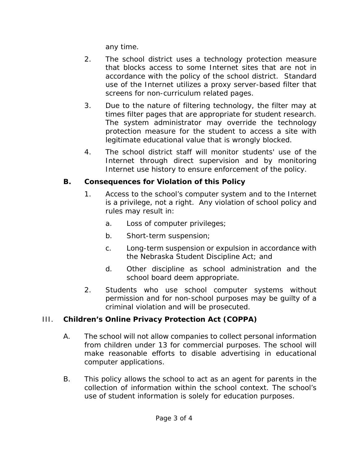any time.

- 2. The school district uses a technology protection measure that blocks access to some Internet sites that are not in accordance with the policy of the school district. Standard use of the Internet utilizes a proxy server-based filter that screens for non-curriculum related pages.
- 3. Due to the nature of filtering technology, the filter may at times filter pages that are appropriate for student research. The system administrator may override the technology protection measure for the student to access a site with legitimate educational value that is wrongly blocked.
- 4. The school district staff will monitor students' use of the Internet through direct supervision and by monitoring Internet use history to ensure enforcement of the policy.

# **B. Consequences for Violation of this Policy**

- 1. Access to the school's computer system and to the Internet is a privilege, not a right. Any violation of school policy and rules may result in:
	- a. Loss of computer privileges;
	- b. Short-term suspension;
	- c. Long-term suspension or expulsion in accordance with the Nebraska Student Discipline Act; and
	- d. Other discipline as school administration and the school board deem appropriate.
- 2. Students who use school computer systems without permission and for non-school purposes may be guilty of a criminal violation and will be prosecuted.

# III. **Children's Online Privacy Protection Act (COPPA)**

- A. The school will not allow companies to collect personal information from children under 13 for commercial purposes. The school will make reasonable efforts to disable advertising in educational computer applications.
- B. This policy allows the school to act as an agent for parents in the collection of information within the school context. The school's use of student information is solely for education purposes.